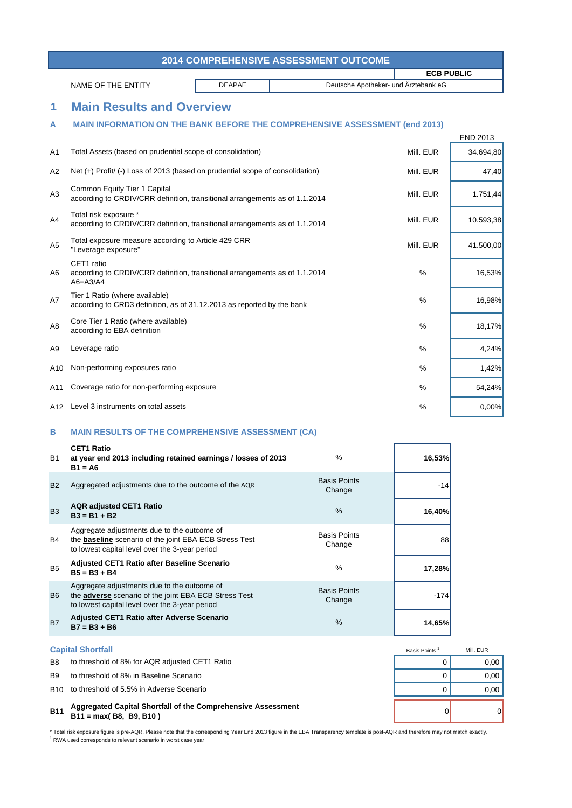| <b>2014 COMPREHENSIVE ASSESSMENT OUTCOME</b> |                                                       |  |                   |
|----------------------------------------------|-------------------------------------------------------|--|-------------------|
|                                              |                                                       |  | <b>ECB PUBLIC</b> |
| NAME OF THE ENTITY                           | Deutsche Apotheker- und Ärztebank eG<br><b>DEAPAE</b> |  |                   |

## **1 Main Results and Overview**

## **A MAIN INFORMATION ON THE BANK BEFORE THE COMPREHENSIVE ASSESSMENT (end 2013)**

|                |                                                                                                             |           | <b>END 2013</b> |
|----------------|-------------------------------------------------------------------------------------------------------------|-----------|-----------------|
| A <sub>1</sub> | Total Assets (based on prudential scope of consolidation)                                                   | Mill. EUR | 34.694,80       |
| A2             | Net (+) Profit/ (-) Loss of 2013 (based on prudential scope of consolidation)                               | Mill. EUR | 47,40           |
| A3             | Common Equity Tier 1 Capital<br>according to CRDIV/CRR definition, transitional arrangements as of 1.1.2014 | Mill. EUR | 1.751,44        |
| A4             | Total risk exposure *<br>according to CRDIV/CRR definition, transitional arrangements as of 1.1.2014        | Mill. EUR | 10.593,38       |
| A <sub>5</sub> | Total exposure measure according to Article 429 CRR<br>"Leverage exposure"                                  | Mill. EUR | 41.500,00       |
| A6             | CET1 ratio<br>according to CRDIV/CRR definition, transitional arrangements as of 1.1.2014<br>$A6 = A3/A4$   | $\%$      | 16,53%          |
| A7             | Tier 1 Ratio (where available)<br>according to CRD3 definition, as of 31.12.2013 as reported by the bank    | $\%$      | 16,98%          |
| A <sub>8</sub> | Core Tier 1 Ratio (where available)<br>according to EBA definition                                          | $\%$      | 18,17%          |
| A9             | Leverage ratio                                                                                              | $\%$      | 4,24%           |
| A10            | Non-performing exposures ratio                                                                              | $\%$      | 1,42%           |
| A11            | Coverage ratio for non-performing exposure                                                                  | $\%$      | 54,24%          |
|                | A12 Level 3 instruments on total assets                                                                     | %         | 0,00%           |

## **B MAIN RESULTS OF THE COMPREHENSIVE ASSESSMENT (CA)**

| <b>B1</b>      | <b>CET1 Ratio</b><br>at year end 2013 including retained earnings / losses of 2013<br>$B1 = A6$                                                                | $\frac{0}{0}$                 | 16,53% |
|----------------|----------------------------------------------------------------------------------------------------------------------------------------------------------------|-------------------------------|--------|
| <b>B2</b>      | Aggregated adjustments due to the outcome of the AQR                                                                                                           | <b>Basis Points</b><br>Change | $-14$  |
| <b>B3</b>      | <b>AQR</b> adjusted CET1 Ratio<br>$B3 = B1 + B2$                                                                                                               | $\frac{0}{0}$                 | 16,40% |
| B4             | Aggregate adjustments due to the outcome of<br>the <b>baseline</b> scenario of the joint EBA ECB Stress Test<br>to lowest capital level over the 3-year period | <b>Basis Points</b><br>Change | 88     |
| <b>B5</b>      | <b>Adjusted CET1 Ratio after Baseline Scenario</b><br>$B5 = B3 + B4$                                                                                           | $\%$                          | 17,28% |
| B <sub>6</sub> | Aggregate adjustments due to the outcome of<br>the <b>adverse</b> scenario of the joint EBA ECB Stress Test<br>to lowest capital level over the 3-year period  | <b>Basis Points</b><br>Change | $-174$ |
| <b>B7</b>      | <b>Adjusted CET1 Ratio after Adverse Scenario</b><br>$B7 = B3 + B6$                                                                                            | $\%$                          | 14,65% |

|                | <b>Capital Shortfall</b>                                                                 | Basis Points | Mill, EUR |
|----------------|------------------------------------------------------------------------------------------|--------------|-----------|
| B <sub>8</sub> | to threshold of 8% for AQR adjusted CET1 Ratio                                           |              | 0.00      |
| <b>B</b> .9    | to threshold of 8% in Baseline Scenario                                                  |              | 0.00      |
|                | B10 to threshold of 5.5% in Adverse Scenario                                             |              | 0.00      |
| <b>B11</b>     | Aggregated Capital Shortfall of the Comprehensive Assessment<br>$B11 = max(B8, B9, B10)$ |              | $\Omega$  |

\* Total risk exposure figure is pre-AQR. Please note that the corresponding Year End 2013 figure in the EBA Transparency template is post-AQR and therefore may not match exactly. <sup>1</sup> RWA used corresponds to relevant scenario in worst case year